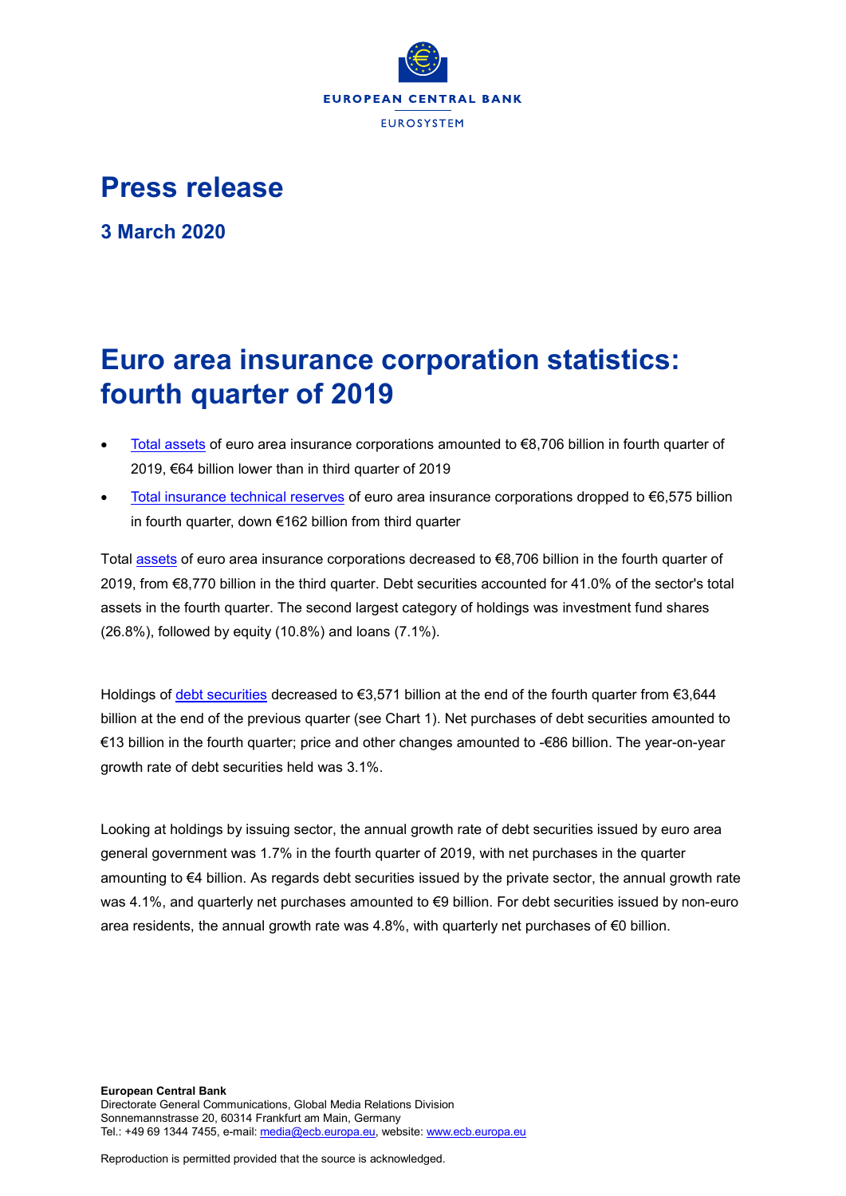

## **Press release**

**3 March 2020**

# **Euro area insurance corporation statistics: fourth quarter of 2019**

- [Total assets](https://sdw.ecb.europa.eu/quickview.do?SERIES_KEY=379.ICB.Q.U2.X.S128.T00.T.1.W0.S1._T.EUR) of euro area insurance corporations amounted to €8,706 billion in fourth quarter of 2019, €64 billion lower than in third quarter of 2019
- [Total insurance technical reserves](https://sdw.ecb.europa.eu/quickview.do?SERIES_KEY=379.ICB.Q.U2.X.S128.L40.T.1.W0.S1._T.EUR) of euro area insurance corporations dropped to €6,575 billion in fourth quarter, down €162 billion from third quarter

Total [assets](https://sdw.ecb.europa.eu/browseSelection.do?type=series&q=ICB.Q.U2.X.S128.T00.T.1.W0.S1._T.EUR+ICB.Q.U2.X.S128.A30.T.1.W0.S1._T.EUR+ICB.Q.U2.X.S128.A30.T.4.W0.S1._T.EUR+ICB.Q.U2.X.S128.A30.T.Z.W0.S1._T.EUR&node=SEARCHRESULTS&ec=&oc=&rc=&cv=&pb=&dc=&df=) of euro area insurance corporations decreased to €8,706 billion in the fourth quarter of 2019, from €8,770 billion in the third quarter. Debt securities accounted for 41.0% of the sector's total assets in the fourth quarter. The second largest category of holdings was investment fund shares (26.8%), followed by equity (10.8%) and loans (7.1%).

Holdings of [debt securities](https://sdw.ecb.europa.eu/browseSelection.do?type=series&q=ICB.Q.U2.X.S128.A30.T.1.W0.S1._T.EUR+ICB.Q.U2.X.S128.A30.T.4.W0.S1._T.EUR+ICB.Q.U2.X.S128.A30.T.Z.W0.S1._T.EUR&node=SEARCHRESULTS&ec=&oc=&rc=&cv=&pb=&dc=&df=) decreased to €3,571 billion at the end of the fourth quarter from €3,644 billion at the end of the previous quarter (see Chart 1). Net purchases of debt securities amounted to €13 billion in the fourth quarter; price and other changes amounted to -€86 billion. The year-on-year growth rate of debt securities held was 3.1%.

Looking at holdings by issuing sector, the annual growth rate of debt securities issued by euro area general government was 1.7% in the fourth quarter of 2019, with net purchases in the quarter amounting to €4 billion. As regards debt securities issued by the private sector, the annual growth rate was 4.1%, and quarterly net purchases amounted to €9 billion. For debt securities issued by non-euro area residents, the annual growth rate was 4.8%, with quarterly net purchases of  $\epsilon$ 0 billion.

Reproduction is permitted provided that the source is acknowledged.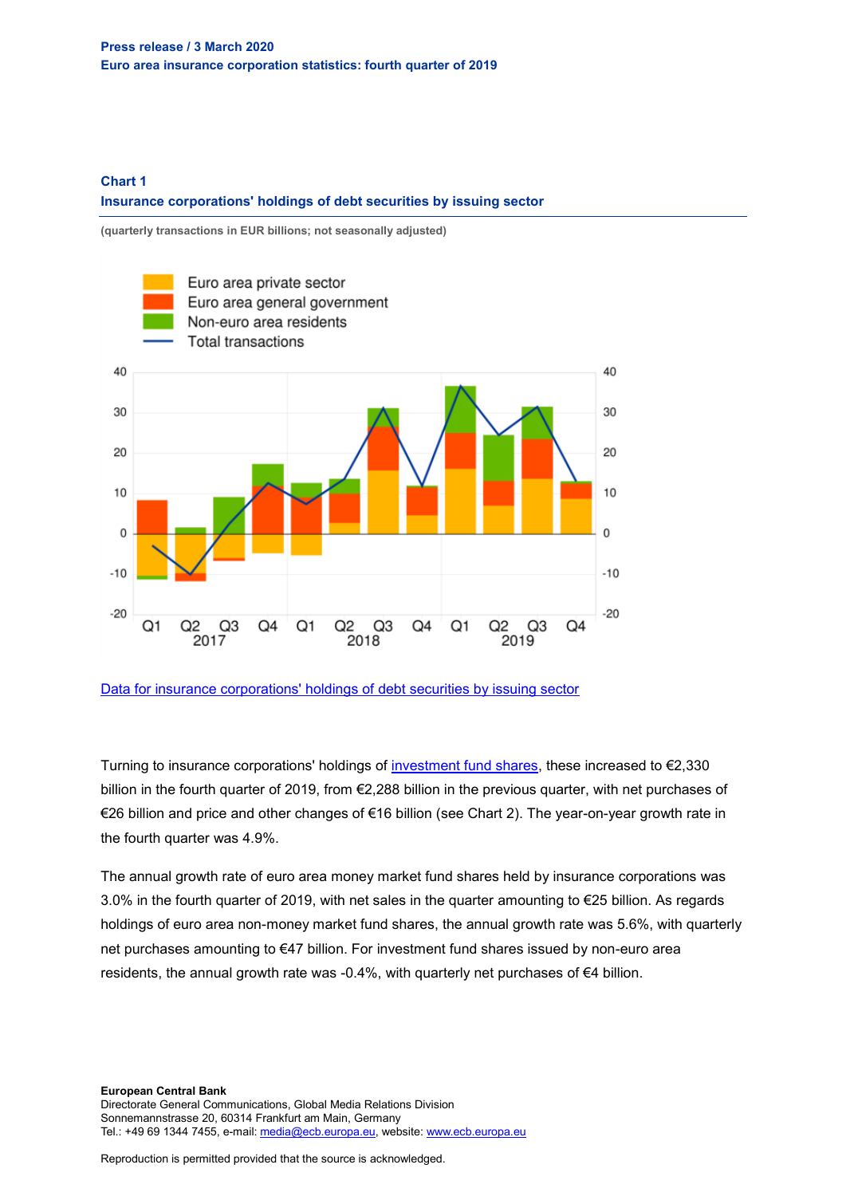#### **Chart 1 Insurance corporations' holdings of debt securities by issuing sector**

**(quarterly transactions in EUR billions; not seasonally adjusted)**



[Data for insurance corporations' holdings of debt securities by issuing sector](https://sdw.ecb.europa.eu/browseSelection.do?type=series&q=ICB.Q.U2.X.S128.A30.T.4.U2.S1._T.EUR%2c+ICB.Q.U2.X.S128.A30.T.4.U2.S13._T.EUR%2c+ICB.Q.U2.X.S128.A30.T.4.U4.S1._T.EUR%2c+ICB.Q.U2.X.S128.A30.T.4.W0.S1._T.EUR&node=SEARCHRESULTS&ec=&oc=&rc=&cv=&pb=&dc=&df=)

Turning to insurance corporations' holdings of [investment fund shares,](https://sdw.ecb.europa.eu/browseSelection.do?type=series&q=ICB.Q.U2.X.S128.A60.T.1.W0.S1._T.EUR+ICB.Q.U2.X.S128.A60.T.4.W0.S1._T.EUR+ICB.Q.U2.X.S128.A60.T.Z.W0.S1._T.EUR&node=SEARCHRESULTS&ec=&oc=&rc=&cv=&pb=&dc=&df=) these increased to €2,330 billion in the fourth quarter of 2019, from €2,288 billion in the previous quarter, with net purchases of €26 billion and price and other changes of €16 billion (see Chart 2). The year-on-year growth rate in the fourth quarter was 4.9%.

The annual growth rate of euro area money market fund shares held by insurance corporations was 3.0% in the fourth quarter of 2019, with net sales in the quarter amounting to €25 billion. As regards holdings of euro area non-money market fund shares, the annual growth rate was 5.6%, with quarterly net purchases amounting to €47 billion. For investment fund shares issued by non-euro area residents, the annual growth rate was -0.4%, with quarterly net purchases of  $\epsilon$ 4 billion.

**European Central Bank** Directorate General Communications, Global Media Relations Division Sonnemannstrasse 20, 60314 Frankfurt am Main, Germany Tel.: +49 69 1344 7455, e-mail[: media@ecb.europa.eu,](mailto:media@ecb.europa.eu) website[: www.ecb.europa.eu](http://www.ecb.europa.eu/)

Reproduction is permitted provided that the source is acknowledged.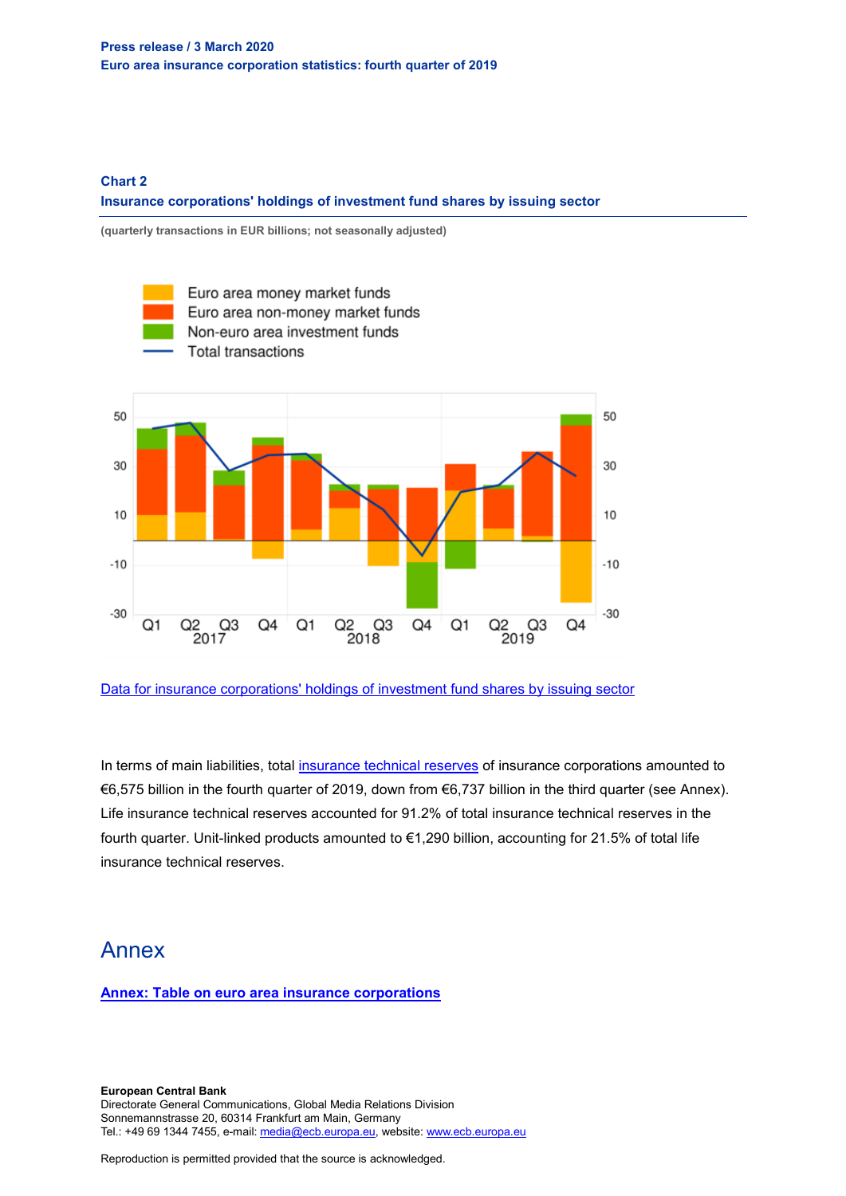#### **Chart 2 Insurance corporations' holdings of investment fund shares by issuing sector**

**(quarterly transactions in EUR billions; not seasonally adjusted)**



[Data for insurance corporations' holdings of investment fund shares by issuing sector](https://sdw.ecb.europa.eu/browseSelection.do?type=series&q=ICB.Q.U2.X.S128.A61.T.4.U2.S12K._T.EUR%2c+ICB.Q.U2.X.S128.A62.T.4.U2.S124._T.EUR%2c++ICB.Q.U2.X.S128.A60.T.4.U4.S1._T.EUR%2c+ICB.Q.U2.X.S128.A60.T.4.W0.S1._T.EUR&node=SEARCHRESULTS&ec=&oc=&rc=&cv=&pb=&dc=&df=)

In terms of main liabilities, total [insurance technical reserves](https://sdw.ecb.europa.eu/browseSelection.do?type=series&q=ICB.Q.U2.X.S128.L40.T.1.W0.S1._T.EUR+ICB.Q.U2.X.S128.L41.T.1.W0.S1._T.EUR++ICB.Q.U2.X.S128.L411.T.1.W0.S1._T.EUR+&node=SEARCHRESULTS&ec=&oc=&rc=&cv=&pb=&dc=&df=) of insurance corporations amounted to €6,575 billion in the fourth quarter of 2019, down from €6,737 billion in the third quarter (see Annex). Life insurance technical reserves accounted for 91.2% of total insurance technical reserves in the fourth quarter. Unit-linked products amounted to €1,290 billion, accounting for 21.5% of total life insurance technical reserves.

### Annex

**[Annex: Table on euro area insurance corporations](http://sdw.ecb.europa.eu/web/generator/prl/pr_icb_0101_2019q4.pdf)**

**European Central Bank** Directorate General Communications, Global Media Relations Division Sonnemannstrasse 20, 60314 Frankfurt am Main, Germany Tel.: +49 69 1344 7455, e-mail[: media@ecb.europa.eu,](mailto:media@ecb.europa.eu) website[: www.ecb.europa.eu](http://www.ecb.europa.eu/)

Reproduction is permitted provided that the source is acknowledged.